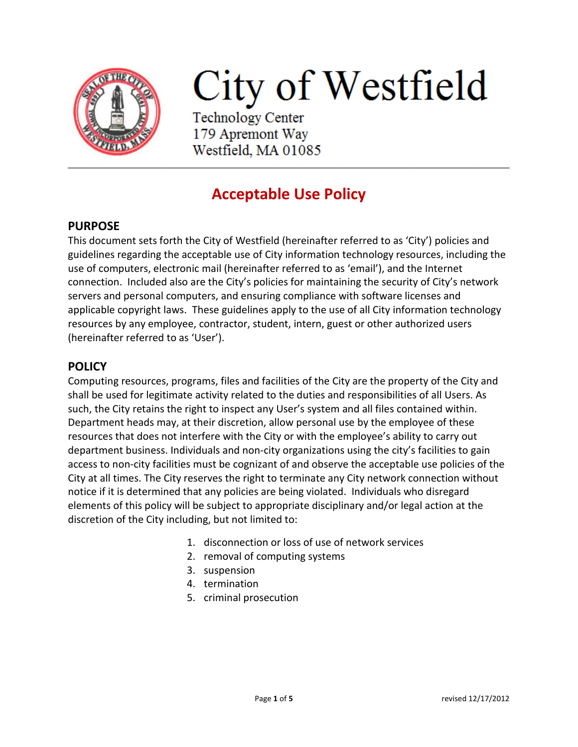

# City of Westfield

**Technology Center** 179 Apremont Way Westfield, MA 01085

# **Acceptable Use Policy**

## **PURPOSE**

This document sets forth the City of Westfield (hereinafter referred to as 'City') policies and guidelines regarding the acceptable use of City information technology resources, including the use of computers, electronic mail (hereinafter referred to as 'email'), and the Internet connection. Included also are the City's policies for maintaining the security of City's network servers and personal computers, and ensuring compliance with software licenses and applicable copyright laws. These guidelines apply to the use of all City information technology resources by any employee, contractor, student, intern, guest or other authorized users (hereinafter referred to as 'User').

### **POLICY**

Computing resources, programs, files and facilities of the City are the property of the City and shall be used for legitimate activity related to the duties and responsibilities of all Users. As such, the City retains the right to inspect any User's system and all files contained within. Department heads may, at their discretion, allow personal use by the employee of these resources that does not interfere with the City or with the employee's ability to carry out department business. Individuals and non-city organizations using the city's facilities to gain access to non-city facilities must be cognizant of and observe the acceptable use policies of the City at all times. The City reserves the right to terminate any City network connection without notice if it is determined that any policies are being violated. Individuals who disregard elements of this policy will be subject to appropriate disciplinary and/or legal action at the discretion of the City including, but not limited to:

- 1. disconnection or loss of use of network services
- 2. removal of computing systems
- 3. suspension
- 4. termination
- 5. criminal prosecution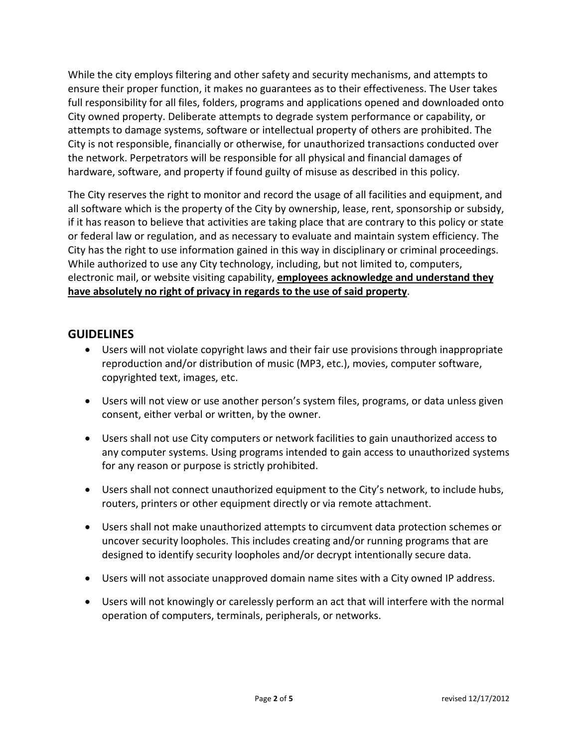While the city employs filtering and other safety and security mechanisms, and attempts to ensure their proper function, it makes no guarantees as to their effectiveness. The User takes full responsibility for all files, folders, programs and applications opened and downloaded onto City owned property. Deliberate attempts to degrade system performance or capability, or attempts to damage systems, software or intellectual property of others are prohibited. The City is not responsible, financially or otherwise, for unauthorized transactions conducted over the network. Perpetrators will be responsible for all physical and financial damages of hardware, software, and property if found guilty of misuse as described in this policy.

The City reserves the right to monitor and record the usage of all facilities and equipment, and all software which is the property of the City by ownership, lease, rent, sponsorship or subsidy, if it has reason to believe that activities are taking place that are contrary to this policy or state or federal law or regulation, and as necessary to evaluate and maintain system efficiency. The City has the right to use information gained in this way in disciplinary or criminal proceedings. While authorized to use any City technology, including, but not limited to, computers, electronic mail, or website visiting capability, **employees acknowledge and understand they have absolutely no right of privacy in regards to the use of said property**.

#### **GUIDELINES**

- Users will not violate copyright laws and their fair use provisions through inappropriate reproduction and/or distribution of music (MP3, etc.), movies, computer software, copyrighted text, images, etc.
- Users will not view or use another person's system files, programs, or data unless given consent, either verbal or written, by the owner.
- Users shall not use City computers or network facilities to gain unauthorized access to any computer systems. Using programs intended to gain access to unauthorized systems for any reason or purpose is strictly prohibited.
- Users shall not connect unauthorized equipment to the City's network, to include hubs, routers, printers or other equipment directly or via remote attachment.
- Users shall not make unauthorized attempts to circumvent data protection schemes or uncover security loopholes. This includes creating and/or running programs that are designed to identify security loopholes and/or decrypt intentionally secure data.
- Users will not associate unapproved domain name sites with a City owned IP address.
- Users will not knowingly or carelessly perform an act that will interfere with the normal operation of computers, terminals, peripherals, or networks.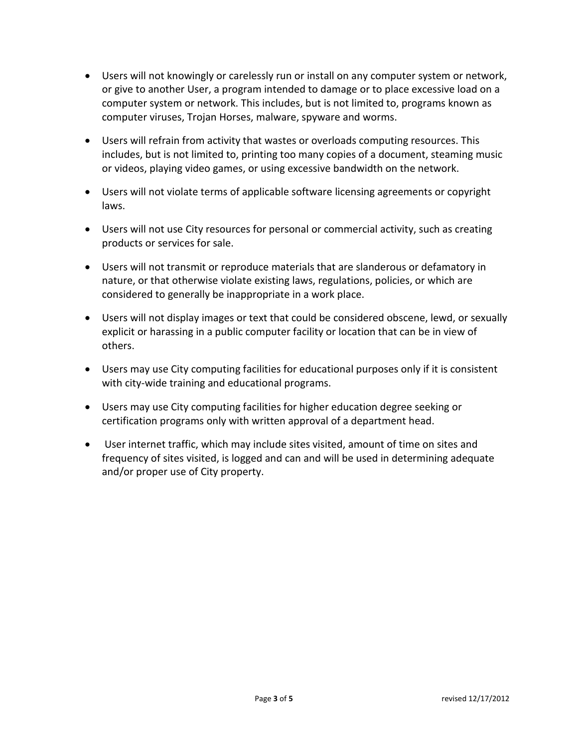- Users will not knowingly or carelessly run or install on any computer system or network, or give to another User, a program intended to damage or to place excessive load on a computer system or network. This includes, but is not limited to, programs known as computer viruses, Trojan Horses, malware, spyware and worms.
- Users will refrain from activity that wastes or overloads computing resources. This includes, but is not limited to, printing too many copies of a document, steaming music or videos, playing video games, or using excessive bandwidth on the network.
- Users will not violate terms of applicable software licensing agreements or copyright laws.
- Users will not use City resources for personal or commercial activity, such as creating products or services for sale.
- Users will not transmit or reproduce materials that are slanderous or defamatory in nature, or that otherwise violate existing laws, regulations, policies, or which are considered to generally be inappropriate in a work place.
- Users will not display images or text that could be considered obscene, lewd, or sexually explicit or harassing in a public computer facility or location that can be in view of others.
- Users may use City computing facilities for educational purposes only if it is consistent with city-wide training and educational programs.
- Users may use City computing facilities for higher education degree seeking or certification programs only with written approval of a department head.
- User internet traffic, which may include sites visited, amount of time on sites and frequency of sites visited, is logged and can and will be used in determining adequate and/or proper use of City property.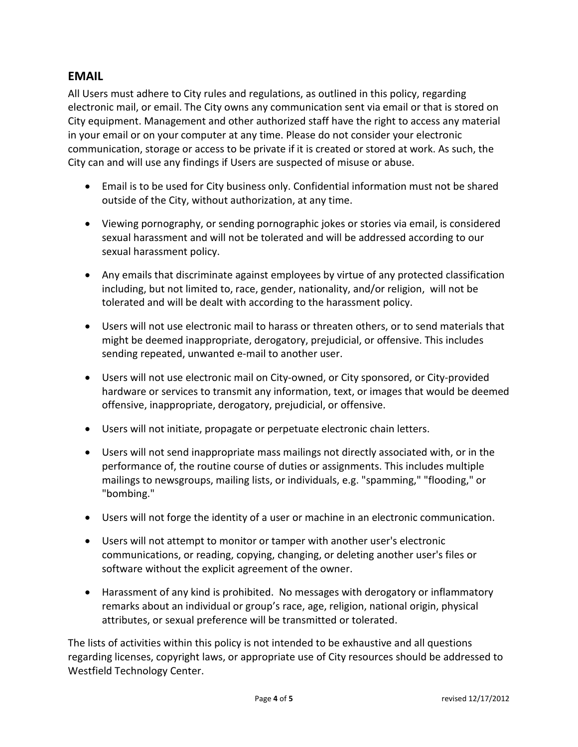### **EMAIL**

All Users must adhere to City rules and regulations, as outlined in this policy, regarding electronic mail, or email. The City owns any communication sent via email or that is stored on City equipment. Management and other authorized staff have the right to access any material in your email or on your computer at any time. Please do not consider your electronic communication, storage or access to be private if it is created or stored at work. As such, the City can and will use any findings if Users are suspected of misuse or abuse.

- Email is to be used for City business only. Confidential information must not be shared outside of the City, without authorization, at any time.
- Viewing pornography, or sending pornographic jokes or stories via email, is considered sexual harassment and will not be tolerated and will be addressed according to our sexual harassment policy.
- Any emails that discriminate against employees by virtue of any protected classification including, but not limited to, race, gender, nationality, and/or religion, will not be tolerated and will be dealt with according to the harassment policy.
- Users will not use electronic mail to harass or threaten others, or to send materials that might be deemed inappropriate, derogatory, prejudicial, or offensive. This includes sending repeated, unwanted e-mail to another user.
- Users will not use electronic mail on City-owned, or City sponsored, or City-provided hardware or services to transmit any information, text, or images that would be deemed offensive, inappropriate, derogatory, prejudicial, or offensive.
- Users will not initiate, propagate or perpetuate electronic chain letters.
- Users will not send inappropriate mass mailings not directly associated with, or in the performance of, the routine course of duties or assignments. This includes multiple mailings to newsgroups, mailing lists, or individuals, e.g. "spamming," "flooding," or "bombing."
- Users will not forge the identity of a user or machine in an electronic communication.
- Users will not attempt to monitor or tamper with another user's electronic communications, or reading, copying, changing, or deleting another user's files or software without the explicit agreement of the owner.
- Harassment of any kind is prohibited. No messages with derogatory or inflammatory remarks about an individual or group's race, age, religion, national origin, physical attributes, or sexual preference will be transmitted or tolerated.

The lists of activities within this policy is not intended to be exhaustive and all questions regarding licenses, copyright laws, or appropriate use of City resources should be addressed to Westfield Technology Center.